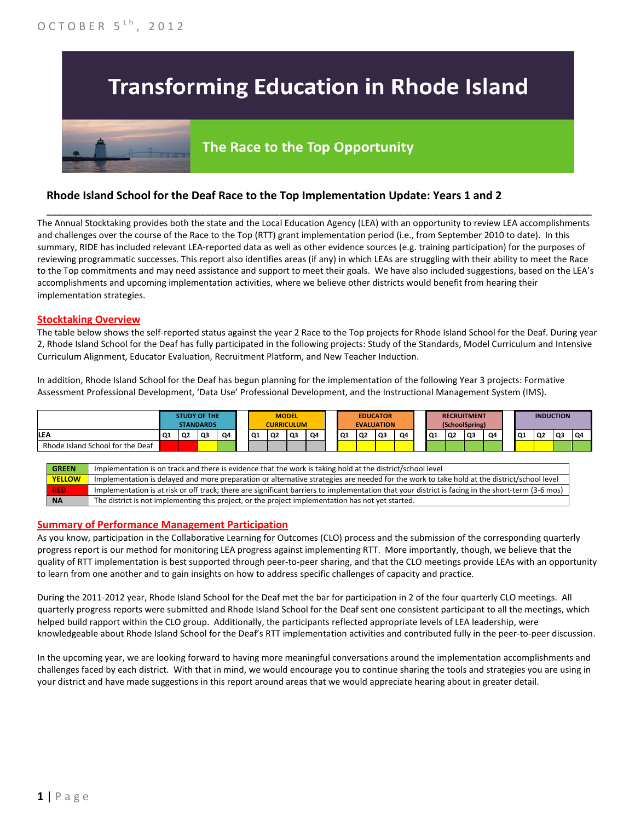# **Transforming Education in Rhode Island**

# The Race to the Top Opportunity

## **Rhode Island School for the Deaf Race to the Top Implementation Update: Years 1 and 2**

The Annual Stocktaking provides both the state and the Local Education Agency (LEA) with an opportunity to review LEA accomplishments and challenges over the course of the Race to the Top (RTT) grant implementation period (i.e., from September 2010 to date). In this summary, RIDE has included relevant LEA-reported data as well as other evidence sources (e.g. training participation) for the purposes of reviewing programmatic successes. This report also identifies areas (if any) in which LEAs are struggling with their ability to meet the Race to the Top commitments and may need assistance and support to meet their goals. We have also included suggestions, based on the LEA's accomplishments and upcoming implementation activities, where we believe other districts would benefit from hearing their implementation strategies.

\_\_\_\_\_\_\_\_\_\_\_\_\_\_\_\_\_\_\_\_\_\_\_\_\_\_\_\_\_\_\_\_\_\_\_\_\_\_\_\_\_\_\_\_\_\_\_\_\_\_\_\_\_\_\_\_\_\_\_\_\_\_\_\_\_\_\_\_\_\_\_\_\_\_\_\_\_\_\_\_\_\_\_\_\_\_\_\_\_\_\_\_\_\_\_\_

#### **Stocktaking Overview**

The table below shows the self-reported status against the year 2 Race to the Top projects for Rhode Island School for the Deaf. During year 2, Rhode Island School for the Deaf has fully participated in the following projects: Study of the Standards, Model Curriculum and Intensive Curriculum Alignment, Educator Evaluation, Recruitment Platform, and New Teacher Induction.

In addition, Rhode Island School for the Deaf has begun planning for the implementation of the following Year 3 projects: Formative Assessment Professional Development, 'Data Use' Professional Development, and the Instructional Management System (IMS).



#### **Summary of Performance Management Participation**

As you know, participation in the Collaborative Learning for Outcomes (CLO) process and the submission of the corresponding quarterly progress report is our method for monitoring LEA progress against implementing RTT. More importantly, though, we believe that the quality of RTT implementation is best supported through peer-to-peer sharing, and that the CLO meetings provide LEAs with an opportunity to learn from one another and to gain insights on how to address specific challenges of capacity and practice.

During the 2011-2012 year, Rhode Island School for the Deaf met the bar for participation in 2 of the four quarterly CLO meetings. All quarterly progress reports were submitted and Rhode Island School for the Deaf sent one consistent participant to all the meetings, which helped build rapport within the CLO group. Additionally, the participants reflected appropriate levels of LEA leadership, were knowledgeable about Rhode Island School for the Deaf's RTT implementation activities and contributed fully in the peer-to-peer discussion.

In the upcoming year, we are looking forward to having more meaningful conversations around the implementation accomplishments and challenges faced by each district. With that in mind, we would encourage you to continue sharing the tools and strategies you are using in your district and have made suggestions in this report around areas that we would appreciate hearing about in greater detail.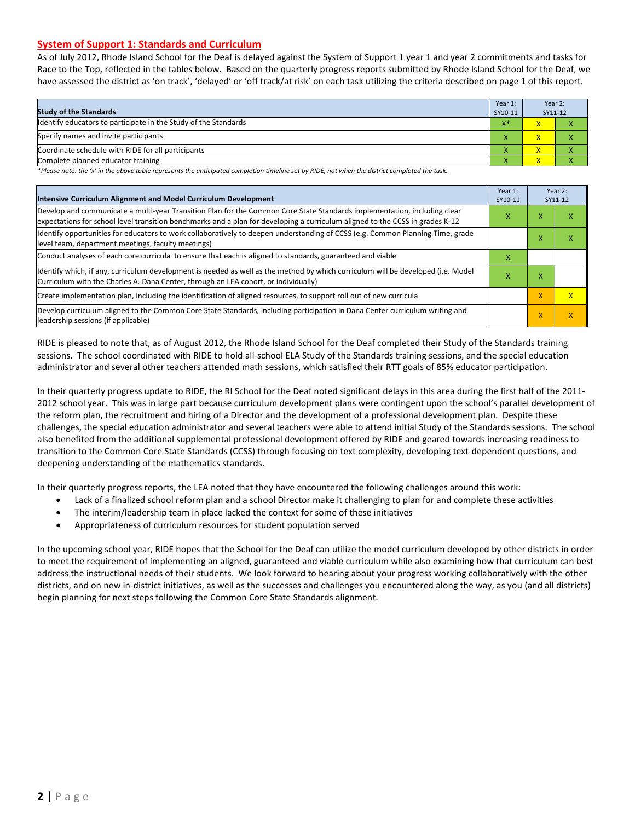#### **System of Support 1: Standards and Curriculum**

As of July 2012, Rhode Island School for the Deaf is delayed against the System of Support 1 year 1 and year 2 commitments and tasks for Race to the Top, reflected in the tables below. Based on the quarterly progress reports submitted by Rhode Island School for the Deaf, we have assessed the district as 'on track', 'delayed' or 'off track/at risk' on each task utilizing the criteria described on page 1 of this report.

| <b>Study of the Standards</b>                                   | Year 1:<br>SY10-11 | Year 2:<br>SY11-12      |  |
|-----------------------------------------------------------------|--------------------|-------------------------|--|
| Identify educators to participate in the Study of the Standards | $V^*$              | x                       |  |
| Specify names and invite participants                           |                    | $\mathbf v$             |  |
| Coordinate schedule with RIDE for all participants              | X                  |                         |  |
| Complete planned educator training                              | Λ                  | $\overline{\mathsf{x}}$ |  |

*\*Please note: the 'x' in the above table represents the anticipated completion timeline set by RIDE, not when the district completed the task.*

| Intensive Curriculum Alignment and Model Curriculum Development                                                                                                                                                                                           |   |   | Year 2:<br>SY11-12 |
|-----------------------------------------------------------------------------------------------------------------------------------------------------------------------------------------------------------------------------------------------------------|---|---|--------------------|
| Develop and communicate a multi-year Transition Plan for the Common Core State Standards implementation, including clear<br>expectations for school level transition benchmarks and a plan for developing a curriculum aligned to the CCSS in grades K-12 |   |   | ⋏                  |
| Identify opportunities for educators to work collaboratively to deepen understanding of CCSS (e.g. Common Planning Time, grade<br>level team, department meetings, faculty meetings)                                                                      |   | x | x                  |
| Conduct analyses of each core curricula to ensure that each is aligned to standards, guaranteed and viable                                                                                                                                                | х |   |                    |
| ldentify which, if any, curriculum development is needed as well as the method by which curriculum will be developed (i.e. Model<br>Curriculum with the Charles A. Dana Center, through an LEA cohort, or individually)                                   | х | x |                    |
| Create implementation plan, including the identification of aligned resources, to support roll out of new curricula                                                                                                                                       |   | X | $\mathsf{x}$       |
| Develop curriculum aligned to the Common Core State Standards, including participation in Dana Center curriculum writing and<br>leadership sessions (if applicable)                                                                                       |   | X | $\mathsf{x}$       |

RIDE is pleased to note that, as of August 2012, the Rhode Island School for the Deaf completed their Study of the Standards training sessions. The school coordinated with RIDE to hold all-school ELA Study of the Standards training sessions, and the special education administrator and several other teachers attended math sessions, which satisfied their RTT goals of 85% educator participation.

In their quarterly progress update to RIDE, the RI School for the Deaf noted significant delays in this area during the first half of the 2011- 2012 school year. This was in large part because curriculum development plans were contingent upon the school's parallel development of the reform plan, the recruitment and hiring of a Director and the development of a professional development plan. Despite these challenges, the special education administrator and several teachers were able to attend initial Study of the Standards sessions. The school also benefited from the additional supplemental professional development offered by RIDE and geared towards increasing readiness to transition to the Common Core State Standards (CCSS) through focusing on text complexity, developing text-dependent questions, and deepening understanding of the mathematics standards.

In their quarterly progress reports, the LEA noted that they have encountered the following challenges around this work:

- Lack of a finalized school reform plan and a school Director make it challenging to plan for and complete these activities
- The interim/leadership team in place lacked the context for some of these initiatives
- Appropriateness of curriculum resources for student population served

In the upcoming school year, RIDE hopes that the School for the Deaf can utilize the model curriculum developed by other districts in order to meet the requirement of implementing an aligned, guaranteed and viable curriculum while also examining how that curriculum can best address the instructional needs of their students. We look forward to hearing about your progress working collaboratively with the other districts, and on new in-district initiatives, as well as the successes and challenges you encountered along the way, as you (and all districts) begin planning for next steps following the Common Core State Standards alignment.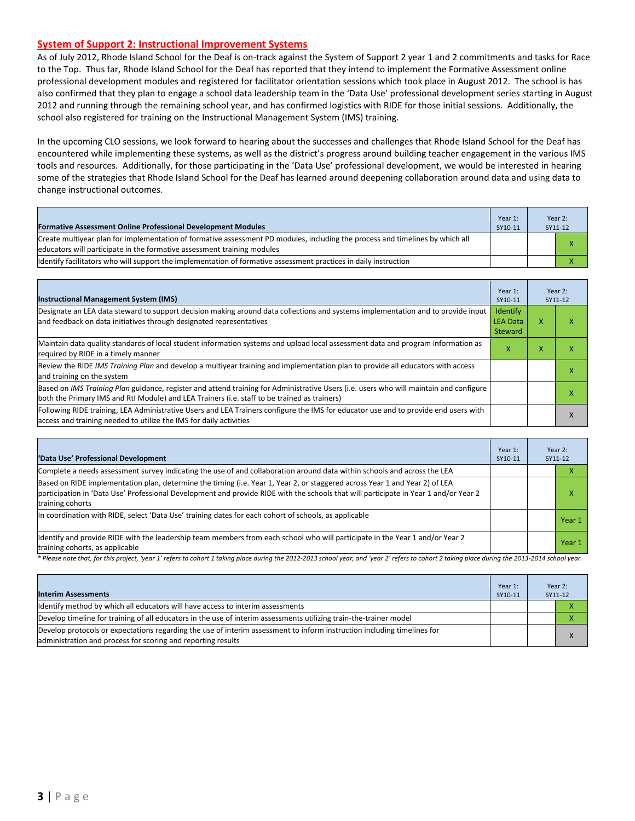#### **System of Support 2: Instructional Improvement Systems**

As of July 2012, Rhode Island School for the Deaf is on-track against the System of Support 2 year 1 and 2 commitments and tasks for Race to the Top. Thus far, Rhode Island School for the Deaf has reported that they intend to implement the Formative Assessment online professional development modules and registered for facilitator orientation sessions which took place in August 2012. The school is has also confirmed that they plan to engage a school data leadership team in the 'Data Use' professional development series starting in August 2012 and running through the remaining school year, and has confirmed logistics with RIDE for those initial sessions. Additionally, the school also registered for training on the Instructional Management System (IMS) training.

In the upcoming CLO sessions, we look forward to hearing about the successes and challenges that Rhode Island School for the Deaf has encountered while implementing these systems, as well as the district's progress around building teacher engagement in the various IMS tools and resources. Additionally, for those participating in the 'Data Use' professional development, we would be interested in hearing some of the strategies that Rhode Island School for the Deaf has learned around deepening collaboration around data and using data to change instructional outcomes.

| <b>Formative Assessment Online Professional Development Modules</b>                                                                                                                                       | Year 1:<br>SY10-11 | Year 2:<br>SY11-12 |
|-----------------------------------------------------------------------------------------------------------------------------------------------------------------------------------------------------------|--------------------|--------------------|
| Create multiyear plan for implementation of formative assessment PD modules, including the process and timelines by which all<br>leducators will participate in the formative assessment training modules |                    | х                  |
| ldentify facilitators who will support the implementation of formative assessment practices in daily instruction                                                                                          |                    |                    |

| <b>Instructional Management System (IMS)</b>                                                                                                                                                                                           | Year 1:<br>SY10-11                            |   | Year 2:<br>SY11-12 |
|----------------------------------------------------------------------------------------------------------------------------------------------------------------------------------------------------------------------------------------|-----------------------------------------------|---|--------------------|
| Designate an LEA data steward to support decision making around data collections and systems implementation and to provide input<br>and feedback on data initiatives through designated representatives                                | <b>Identify</b><br><b>LEA Data</b><br>Steward | x |                    |
| Maintain data quality standards of local student information systems and upload local assessment data and program information as<br>required by RIDE in a timely manner                                                                | x                                             | x |                    |
| Review the RIDE IMS Training Plan and develop a multivear training and implementation plan to provide all educators with access<br>and training on the system                                                                          |                                               |   |                    |
| Based on IMS Training Plan guidance, register and attend training for Administrative Users (i.e. users who will maintain and configure<br>both the Primary IMS and RtI Module) and LEA Trainers (i.e. staff to be trained as trainers) |                                               |   |                    |
| Following RIDE training, LEA Administrative Users and LEA Trainers configure the IMS for educator use and to provide end users with<br>access and training needed to utilize the IMS for daily activities                              |                                               |   |                    |

| 'Data Use' Professional Development                                                                                                                                                                                                                                                     | Year 1:<br>SY10-11 |  | Year 2:<br>SY11-12 |
|-----------------------------------------------------------------------------------------------------------------------------------------------------------------------------------------------------------------------------------------------------------------------------------------|--------------------|--|--------------------|
| Complete a needs assessment survey indicating the use of and collaboration around data within schools and across the LEA                                                                                                                                                                |                    |  |                    |
| Based on RIDE implementation plan, determine the timing (i.e. Year 1, Year 2, or staggered across Year 1 and Year 2) of LEA<br>participation in 'Data Use' Professional Development and provide RIDE with the schools that will participate in Year 1 and/or Year 2<br>training cohorts |                    |  |                    |
| In coordination with RIDE, select 'Data Use' training dates for each cohort of schools, as applicable                                                                                                                                                                                   |                    |  | Year 1             |
| Identify and provide RIDE with the leadership team members from each school who will participate in the Year 1 and/or Year 2<br>training cohorts, as applicable                                                                                                                         |                    |  | Year 1             |

*\* Please note that, for this project, 'year 1' refers to cohort 1 taking place during the 2012-2013 school year, and 'year 2' refers to cohort 2 taking place during the 2013-2014 school year.*

| <b>Interim Assessments</b>                                                                                                                                                              | Year 1:<br>SY10-11 | Year 2:<br>SY11-12 |
|-----------------------------------------------------------------------------------------------------------------------------------------------------------------------------------------|--------------------|--------------------|
| Identify method by which all educators will have access to interim assessments                                                                                                          |                    |                    |
| Develop timeline for training of all educators in the use of interim assessments utilizing train-the-trainer model                                                                      |                    |                    |
| Develop protocols or expectations regarding the use of interim assessment to inform instruction including timelines for<br>administration and process for scoring and reporting results |                    |                    |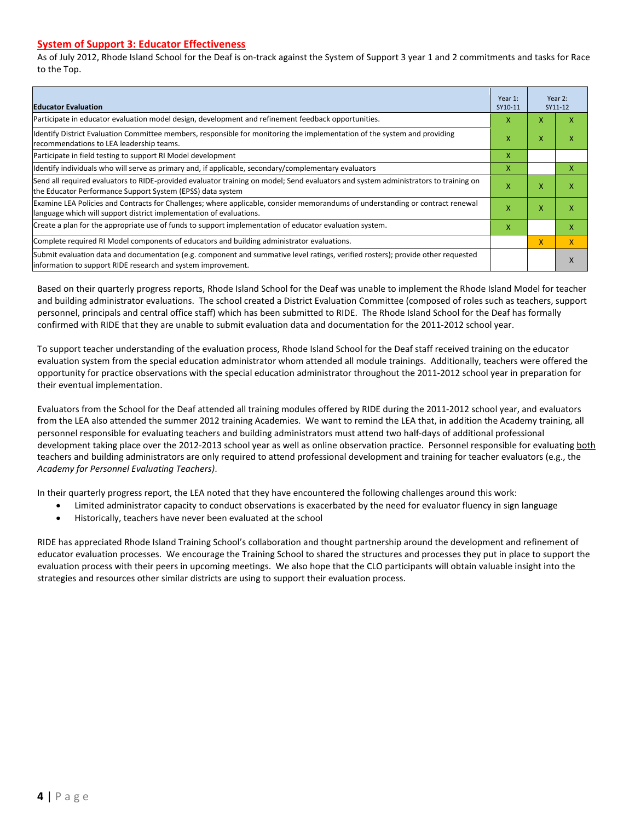#### **System of Support 3: Educator Effectiveness**

As of July 2012, Rhode Island School for the Deaf is on-track against the System of Support 3 year 1 and 2 commitments and tasks for Race to the Top.

| <b>Educator Evaluation</b>                                                                                                                                                                            |   |   | Year 2:<br>SY11-12 |
|-------------------------------------------------------------------------------------------------------------------------------------------------------------------------------------------------------|---|---|--------------------|
| Participate in educator evaluation model design, development and refinement feedback opportunities.                                                                                                   | X | x | v                  |
| Identify District Evaluation Committee members, responsible for monitoring the implementation of the system and providing<br>recommendations to LEA leadership teams.                                 | X | X | x                  |
| Participate in field testing to support RI Model development                                                                                                                                          | x |   |                    |
| Ildentify individuals who will serve as primary and, if applicable, secondary/complementary evaluators                                                                                                | X |   | х                  |
| Send all required evaluators to RIDE-provided evaluator training on model; Send evaluators and system administrators to training on<br>the Educator Performance Support System (EPSS) data system     | X | X | x                  |
| Examine LEA Policies and Contracts for Challenges; where applicable, consider memorandums of understanding or contract renewal<br>language which will support district implementation of evaluations. |   | X | x                  |
| Create a plan for the appropriate use of funds to support implementation of educator evaluation system.                                                                                               | X |   | x                  |
| Complete required RI Model components of educators and building administrator evaluations.                                                                                                            |   |   | X                  |
| Submit evaluation data and documentation (e.g. component and summative level ratings, verified rosters); provide other requested<br>linformation to support RIDE research and system improvement.     |   |   | X                  |

Based on their quarterly progress reports, Rhode Island School for the Deaf was unable to implement the Rhode Island Model for teacher and building administrator evaluations. The school created a District Evaluation Committee (composed of roles such as teachers, support personnel, principals and central office staff) which has been submitted to RIDE. The Rhode Island School for the Deaf has formally confirmed with RIDE that they are unable to submit evaluation data and documentation for the 2011-2012 school year.

To support teacher understanding of the evaluation process, Rhode Island School for the Deaf staff received training on the educator evaluation system from the special education administrator whom attended all module trainings. Additionally, teachers were offered the opportunity for practice observations with the special education administrator throughout the 2011-2012 school year in preparation for their eventual implementation.

Evaluators from the School for the Deaf attended all training modules offered by RIDE during the 2011-2012 school year, and evaluators from the LEA also attended the summer 2012 training Academies. We want to remind the LEA that, in addition the Academy training, all personnel responsible for evaluating teachers and building administrators must attend two half-days of additional professional development taking place over the 2012-2013 school year as well as online observation practice. Personnel responsible for evaluating both teachers and building administrators are only required to attend professional development and training for teacher evaluators (e.g., the *Academy for Personnel Evaluating Teachers)*.

In their quarterly progress report, the LEA noted that they have encountered the following challenges around this work:

- Limited administrator capacity to conduct observations is exacerbated by the need for evaluator fluency in sign language
- Historically, teachers have never been evaluated at the school

RIDE has appreciated Rhode Island Training School's collaboration and thought partnership around the development and refinement of educator evaluation processes. We encourage the Training School to shared the structures and processes they put in place to support the evaluation process with their peers in upcoming meetings. We also hope that the CLO participants will obtain valuable insight into the strategies and resources other similar districts are using to support their evaluation process.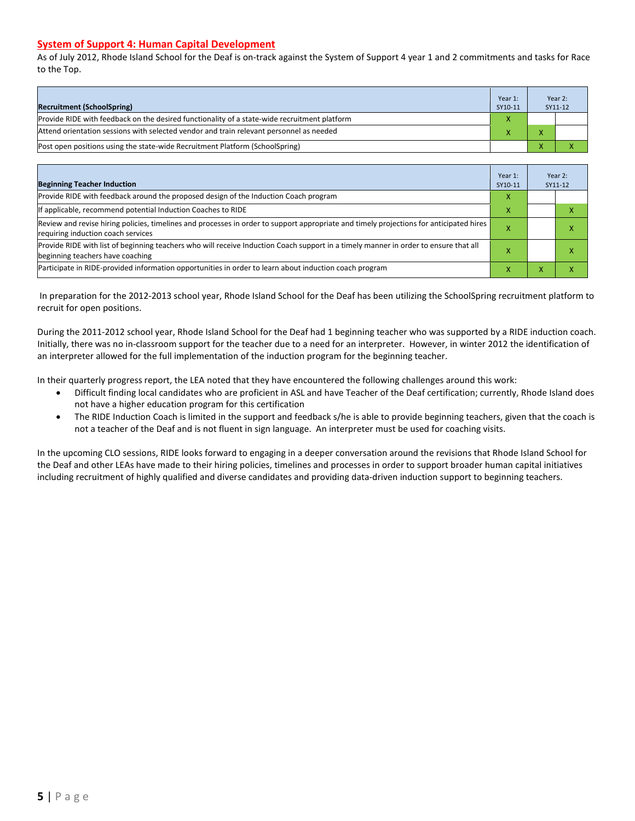#### **System of Support 4: Human Capital Development**

As of July 2012, Rhode Island School for the Deaf is on-track against the System of Support 4 year 1 and 2 commitments and tasks for Race to the Top.

| <b>Recruitment (SchoolSpring)</b>                                                            | Year 1:<br>SY10-11 | Year 2:<br>SY11-12 |
|----------------------------------------------------------------------------------------------|--------------------|--------------------|
| Provide RIDE with feedback on the desired functionality of a state-wide recruitment platform |                    |                    |
| Attend orientation sessions with selected vendor and train relevant personnel as needed      |                    |                    |
| (Post open positions using the state-wide Recruitment Platform (SchoolSpring)                |                    |                    |

| <b>Beginning Teacher Induction</b>                                                                                                                                            | Year 1:<br>SY10-11 |   | Year 2:<br>SY11-12 |
|-------------------------------------------------------------------------------------------------------------------------------------------------------------------------------|--------------------|---|--------------------|
| Provide RIDE with feedback around the proposed design of the Induction Coach program                                                                                          | X                  |   |                    |
| If applicable, recommend potential Induction Coaches to RIDE                                                                                                                  | X                  |   |                    |
| Review and revise hiring policies, timelines and processes in order to support appropriate and timely projections for anticipated hires<br>requiring induction coach services | x                  |   | ⋏                  |
| Provide RIDE with list of beginning teachers who will receive Induction Coach support in a timely manner in order to ensure that all<br>beginning teachers have coaching      |                    |   | ⋏                  |
| Participate in RIDE-provided information opportunities in order to learn about induction coach program                                                                        | X                  | ⋏ |                    |

In preparation for the 2012-2013 school year, Rhode Island School for the Deaf has been utilizing the SchoolSpring recruitment platform to recruit for open positions.

During the 2011-2012 school year, Rhode Island School for the Deaf had 1 beginning teacher who was supported by a RIDE induction coach. Initially, there was no in-classroom support for the teacher due to a need for an interpreter. However, in winter 2012 the identification of an interpreter allowed for the full implementation of the induction program for the beginning teacher.

In their quarterly progress report, the LEA noted that they have encountered the following challenges around this work:

- Difficult finding local candidates who are proficient in ASL and have Teacher of the Deaf certification; currently, Rhode Island does not have a higher education program for this certification
- The RIDE Induction Coach is limited in the support and feedback s/he is able to provide beginning teachers, given that the coach is not a teacher of the Deaf and is not fluent in sign language. An interpreter must be used for coaching visits.

In the upcoming CLO sessions, RIDE looks forward to engaging in a deeper conversation around the revisions that Rhode Island School for the Deaf and other LEAs have made to their hiring policies, timelines and processes in order to support broader human capital initiatives including recruitment of highly qualified and diverse candidates and providing data-driven induction support to beginning teachers.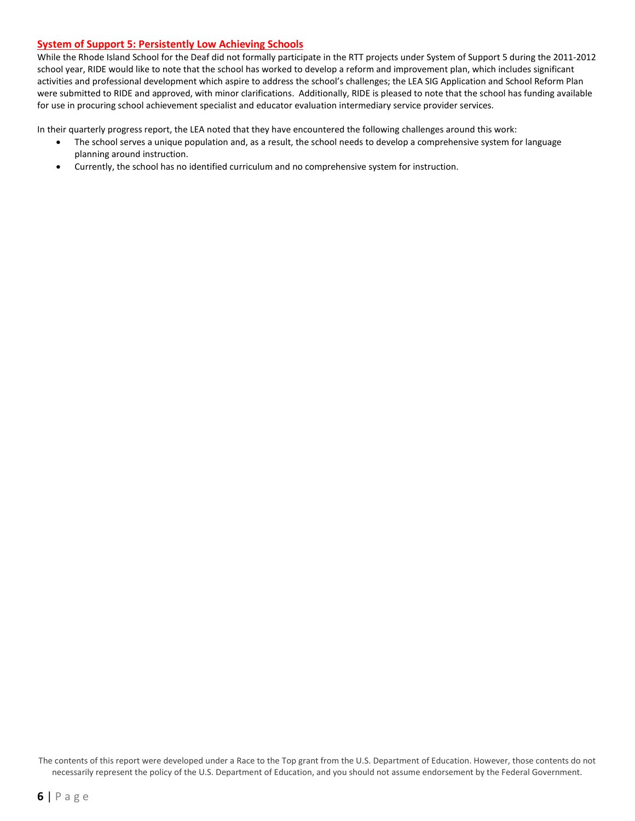#### **System of Support 5: Persistently Low Achieving Schools**

While the Rhode Island School for the Deaf did not formally participate in the RTT projects under System of Support 5 during the 2011-2012 school year, RIDE would like to note that the school has worked to develop a reform and improvement plan, which includes significant activities and professional development which aspire to address the school's challenges; the LEA SIG Application and School Reform Plan were submitted to RIDE and approved, with minor clarifications. Additionally, RIDE is pleased to note that the school has funding available for use in procuring school achievement specialist and educator evaluation intermediary service provider services.

In their quarterly progress report, the LEA noted that they have encountered the following challenges around this work:

- The school serves a unique population and, as a result, the school needs to develop a comprehensive system for language planning around instruction.
- Currently, the school has no identified curriculum and no comprehensive system for instruction.

The contents of this report were developed under a Race to the Top grant from the U.S. Department of Education. However, those contents do not necessarily represent the policy of the U.S. Department of Education, and you should not assume endorsement by the Federal Government.